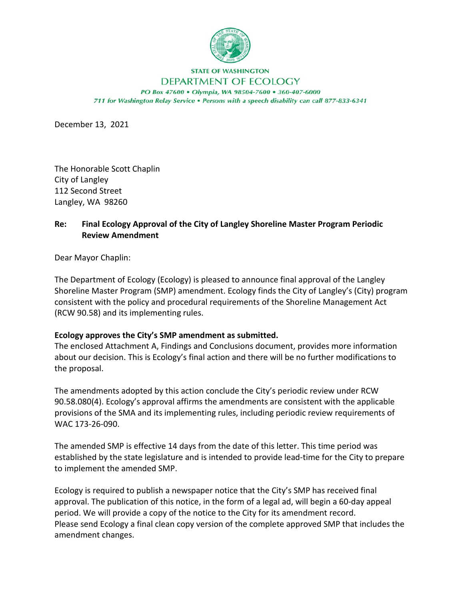

## **STATE OF WASHINGTON** DEPARTMENT OF ECOLOGY

PO Box 47600 · Olympia, WA 98504-7600 · 360-407-6000 711 for Washington Relay Service . Persons with a speech disability can call 877-833-6341

December 13, 2021

The Honorable Scott Chaplin City of Langley 112 Second Street Langley, WA 98260

## **Re: Final Ecology Approval of the City of Langley Shoreline Master Program Periodic Review Amendment**

Dear Mayor Chaplin:

The Department of Ecology (Ecology) is pleased to announce final approval of the Langley Shoreline Master Program (SMP) amendment. Ecology finds the City of Langley's (City) program consistent with the policy and procedural requirements of the Shoreline Management Act (RCW 90.58) and its implementing rules.

## **Ecology approves the City's SMP amendment as submitted.**

The enclosed Attachment A, Findings and Conclusions document, provides more information about our decision. This is Ecology's final action and there will be no further modifications to the proposal.

The amendments adopted by this action conclude the City's periodic review under RCW 90.58.080(4). Ecology's approval affirms the amendments are consistent with the applicable provisions of the SMA and its implementing rules, including periodic review requirements of WAC 173-26-090.

The amended SMP is effective 14 days from the date of this letter. This time period was established by the state legislature and is intended to provide lead-time for the City to prepare to implement the amended SMP.

Ecology is required to publish a newspaper notice that the City's SMP has received final approval. The publication of this notice, in the form of a legal ad, will begin a 60-day appeal period. We will provide a copy of the notice to the City for its amendment record. Please send Ecology a final clean copy version of the complete approved SMP that includes the amendment changes.